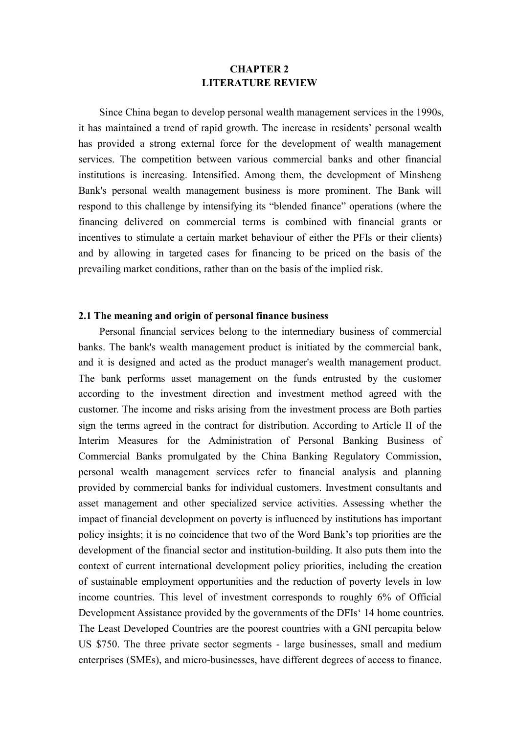# **CHAPTER 2 LITERATURE REVIEW**

Since China began to develop personal wealth management services in the 1990s, it has maintained a trend of rapid growth. The increase in residents' personal wealth has provided a strong external force for the development of wealth management services. The competition between various commercial banks and other financial institutions is increasing. Intensified. Among them, the development of Minsheng Bank's personal wealth management business is more prominent. The Bank will respond to this challenge by intensifying its "blended finance" operations (where the financing delivered on commercial terms is combined with financial grants or incentives to stimulate a certain market behaviour of either the PFIs or their clients) and by allowing in targeted cases for financing to be priced on the basis of the prevailing market conditions, rather than on the basis of the implied risk.

## **2.1 The meaning and origin of personal finance business**

Personal financial services belong to the intermediary business of commercial banks. The bank's wealth management product is initiated by the commercial bank, and it is designed and acted as the product manager's wealth management product. The bank performs asset management on the funds entrusted by the customer according to the investment direction and investment method agreed with the customer. The income and risks arising from the investment process are Both parties sign the terms agreed in the contract for distribution. According to Article II of the Interim Measures for the Administration of Personal Banking Business of Commercial Banks promulgated by the China Banking Regulatory Commission, personal wealth management services refer to financial analysis and planning provided by commercial banks for individual customers. Investment consultants and asset management and other specialized service activities. Assessing whether the impact of financial development on poverty is influenced by institutions has important policy insights; it is no coincidence that two of the Word Bank's top priorities are the development of the financial sector and institution-building. It also puts them into the context of current international development policy priorities, including the creation of sustainable employment opportunities and the reduction of poverty levels in low income countries. This level of investment corresponds to roughly 6% of Official Development Assistance provided by the governments of the DFIs' 14 home countries. The Least Developed Countries are the poorest countries with a GNI percapita below US \$750. The three private sector segments - large businesses, small and medium enterprises (SMEs), and micro-businesses, have different degrees of access to finance.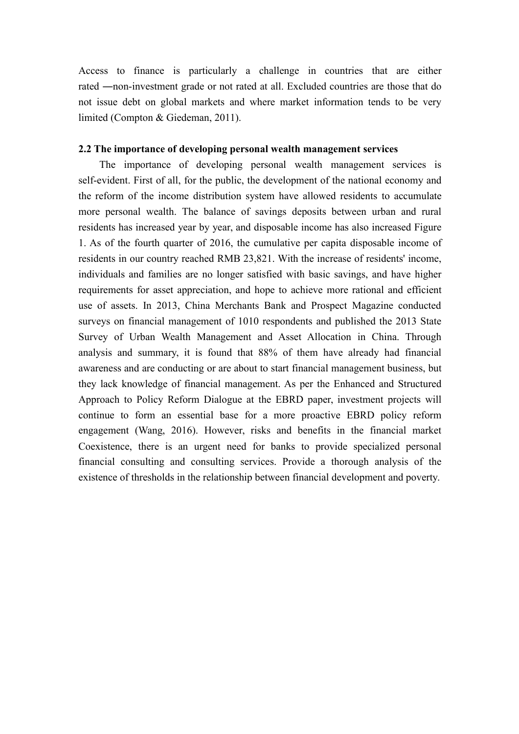Access to finance is particularly a challenge in countries that are either rated ―non-investment grade or not rated at all. Excluded countries are those that do not issue debt on global markets and where market information tends to be very limited (Compton & Giedeman, 2011).

#### **2.2 The importance of developing personal wealth management services**

The importance of developing personal wealth management services is self-evident. First of all, for the public, the development of the national economy and the reform of the income distribution system have allowed residents to accumulate more personal wealth. The balance of savings deposits between urban and rural residents has increased year by year, and disposable income has also increased Figure 1. As of the fourth quarter of 2016, the cumulative per capita disposable income of residents in our country reached RMB 23,821. With the increase of residents' income, individuals and families are no longer satisfied with basic savings, and have higher requirements for asset appreciation, and hope to achieve more rational and efficient use of assets. In 2013, China Merchants Bank and Prospect Magazine conducted surveys on financial management of 1010 respondents and published the 2013 State Survey of Urban Wealth Management and Asset Allocation in China. Through analysis and summary, it is found that 88% of them have already had financial awareness and are conducting or are about to start financial management business, but they lack knowledge of financial management. As per the Enhanced and Structured Approach to Policy Reform Dialogue at the EBRD paper, investment projects will continue to form an essential base for a more proactive EBRD policy reform engagement (Wang, 2016). However, risks and benefits in the financial market Coexistence, there is an urgent need for banks to provide specialized personal financial consulting and consulting services. Provide a thorough analysis of the existence of thresholds in the relationship between financial development and poverty.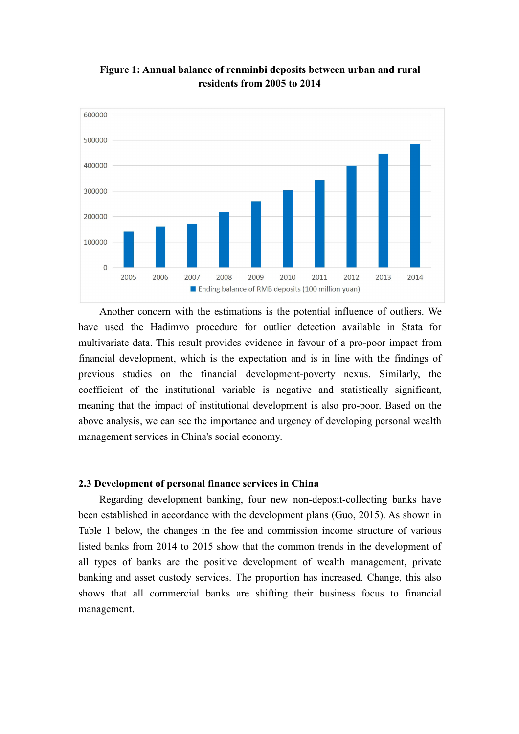

**Figure 1: Annual balance of renminbi deposits between urban and rural residents from 2005 to 2014**

Another concern with the estimations is the potential influence of outliers. We have used the Hadimvo procedure for outlier detection available in Stata for multivariate data. This result provides evidence in favour of a pro-poor impact from financial development, which is the expectation and is in line with the findings of previous studies on the financial development-poverty nexus. Similarly, the coefficient of the institutional variable is negative and statistically significant, meaning that the impact of institutional development is also pro-poor. Based on the above analysis, we can see the importance and urgency of developing personal wealth management services in China's social economy.

#### **2.3 Development of personal finance services in China**

Regarding development banking, four new non-deposit-collecting banks have been established in accordance with the development plans (Guo, 2015). As shown in Table 1 below, the changes in the fee and commission income structure of various listed banks from 2014 to 2015 show that the common trends in the development of all types of banks are the positive development of wealth management, private banking and asset custody services. The proportion has increased. Change, this also shows that all commercial banks are shifting their business focus to financial management.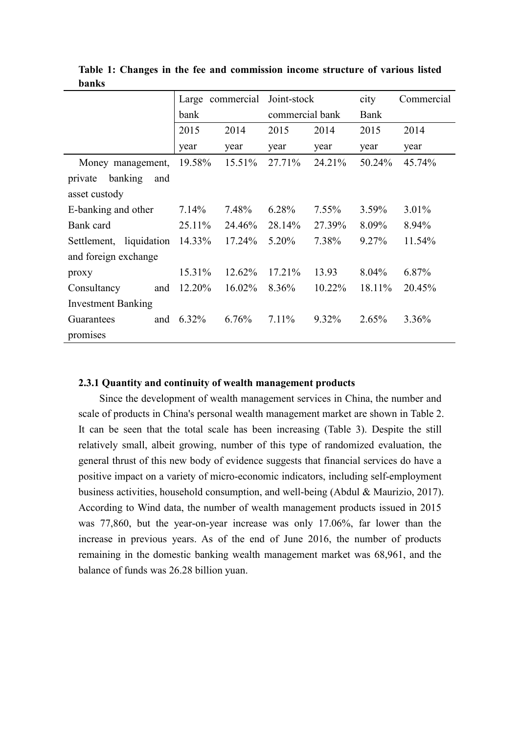|                           |        | Large commercial | Joint-stock     |          | city     | Commercial |
|---------------------------|--------|------------------|-----------------|----------|----------|------------|
|                           | bank   |                  | commercial bank |          | Bank     |            |
|                           | 2015   | 2014             | 2015            | 2014     | 2015     | 2014       |
|                           | year   | year             | year            | year     | year     | year       |
| Money management,         | 19.58% | 15.51%           | 27.71%          | 24.21%   | 50.24%   | 45.74%     |
| private banking<br>and    |        |                  |                 |          |          |            |
| asset custody             |        |                  |                 |          |          |            |
| E-banking and other       | 7.14%  | 7.48%            | 6.28%           | $7.55\%$ | $3.59\%$ | 3.01%      |
| Bank card                 | 25.11% | 24.46%           | 28.14%          | 27.39%   | 8.09%    | 8.94%      |
| Settlement, liquidation   | 14.33% | 17.24%           | 5.20%           | 7.38%    | 9.27%    | 11.54%     |
| and foreign exchange      |        |                  |                 |          |          |            |
| proxy                     | 15.31% | 12.62%           | 17.21%          | 13.93    | 8.04%    | 6.87%      |
| Consultancy<br>and        | 12.20% | 16.02%           | 8.36%           | 10.22%   | 18.11%   | 20.45%     |
| <b>Investment Banking</b> |        |                  |                 |          |          |            |
| Guarantees<br>and         | 6.32%  | 6.76%            | $7.11\%$        | 9.32%    | 2.65%    | 3.36%      |
| promises                  |        |                  |                 |          |          |            |

**Table 1: Changes in the fee and commission income structure of various listed banks**

#### **2.3.1 Quantity and continuity of wealth management products**

Since the development of wealth management services in China, the number and scale of products in China's personal wealth management market are shown in Table 2. It can be seen that the total scale has been increasing (Table 3). Despite the still relatively small, albeit growing, number of this type of randomized evaluation, the general thrust of this new body of evidence suggests that financial services do have a positive impact on a variety of micro-economic indicators, including self-employment business activities, household consumption, and well-being (Abdul & Maurizio, 2017). According to Wind data, the number of wealth management products issued in 2015 was 77,860, but the year-on-year increase was only 17.06%, far lower than the increase in previous years. As of the end of June 2016, the number of products remaining in the domestic banking wealth management market was 68,961, and the balance of funds was 26.28 billion yuan.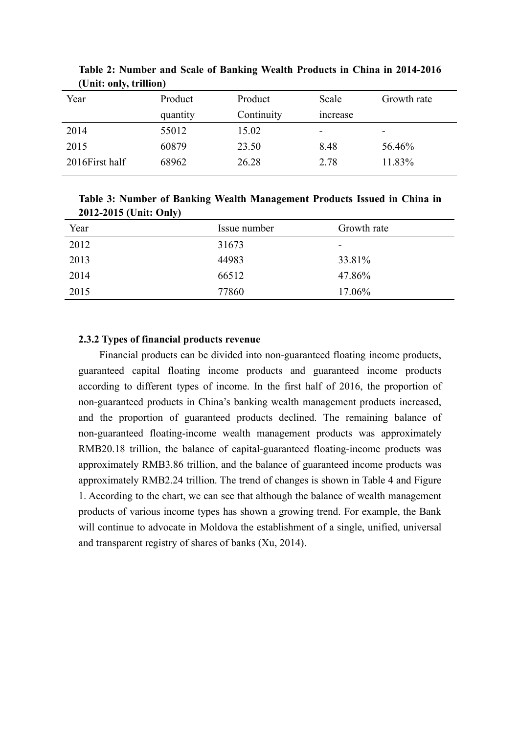| тошь ошу, а шюп) |          |            |                          |             |
|------------------|----------|------------|--------------------------|-------------|
| Year             | Product  | Product    | Scale                    | Growth rate |
|                  | quantity | Continuity | <i>ncrease</i>           |             |
| 2014             | 55012    | 15.02      | $\overline{\phantom{0}}$ | -           |
| 2015             | 60879    | 23.50      | 8.48                     | 56.46%      |
| 2016 First half  | 68962    | 26.28      | 2.78                     | 11.83%      |
|                  |          |            |                          |             |

**Table 2: Number and Scale of Banking Wealth Products in China in 2014-2016 (Unit: only, trillion)**

**Table 3: Number of Banking Wealth Management Products Issued in China in 2012-2015 (Unit: Only)**

| $\sim$ |              |                          |
|--------|--------------|--------------------------|
| Year   | Issue number | Growth rate              |
| 2012   | 31673        | $\overline{\phantom{0}}$ |
| 2013   | 44983        | 33.81%                   |
| 2014   | 66512        | 47.86%                   |
| 2015   | 77860        | 17.06%                   |

## **2.3.2 Types offinancial products revenue**

Financial products can be divided into non-guaranteed floating income products, guaranteed capital floating income products and guaranteed income products according to different types of income. In the first half of 2016, the proportion of non-guaranteed products in China's banking wealth management products increased, and the proportion of guaranteed products declined. The remaining balance of non-guaranteed floating-income wealth management products was approximately RMB20.18 trillion, the balance of capital-guaranteed floating-income products was approximately RMB3.86 trillion, and the balance of guaranteed income products was approximately RMB2.24 trillion. The trend of changes is shown in Table 4 and Figure 1. According to the chart, we can see that although the balance of wealth management products of various income types has shown a growing trend. For example, the Bank will continue to advocate in Moldova the establishment of a single, unified, universal and transparent registry of shares of banks (Xu, 2014).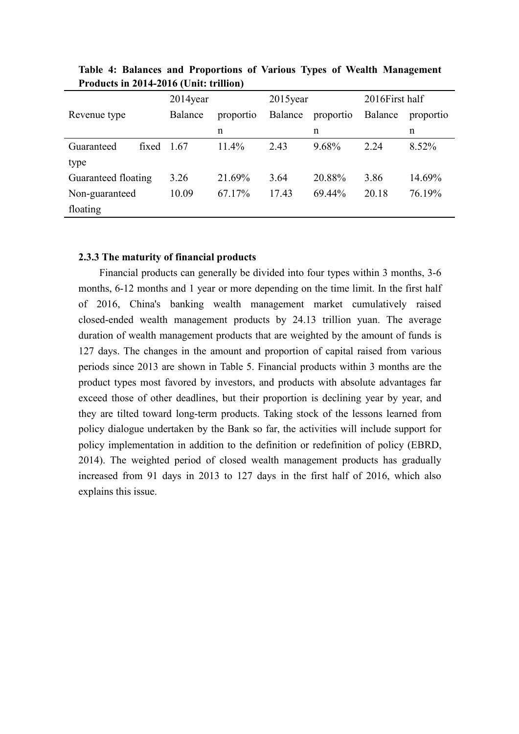|                     |              | $2014$ year |           | $2015$ year |           | 2016First half |           |
|---------------------|--------------|-------------|-----------|-------------|-----------|----------------|-----------|
| Revenue type        |              | Balance     | proportio | Balance     | proportio | Balance        | proportio |
|                     |              |             | n         |             | n         |                | n         |
| Guaranteed          | fixed $1.67$ |             | 11.4%     | 2.43        | 9.68%     | 2.24           | 8.52%     |
| type                |              |             |           |             |           |                |           |
| Guaranteed floating |              | 3.26        | 21.69%    | 3.64        | 20.88%    | 3.86           | 14.69%    |
| Non-guaranteed      |              | 10.09       | 67.17%    | 17.43       | 69.44%    | 20.18          | 76.19%    |
| floating            |              |             |           |             |           |                |           |

**Table 4: Balances and Proportions of Various Types of Wealth Management Products in 2014-2016 (Unit: trillion)**

## **2.3.3 The maturity of financial products**

Financial products can generally be divided into four types within 3 months, 3-6 months, 6-12 months and 1 year or more depending on the time limit. In the first half of 2016, China's banking wealth management market cumulatively raised closed-ended wealth management products by 24.13 trillion yuan. The average duration of wealth management products that are weighted by the amount of funds is 127 days. The changes in the amount and proportion of capital raised from various periods since 2013 are shown in Table 5. Financial products within 3 months are the product types most favored by investors, and products with absolute advantages far exceed those of other deadlines, but their proportion is declining year by year, and they are tilted toward long-term products. Taking stock of the lessons learned from policy dialogue undertaken by the Bank so far, the activities will include support for policy implementation in addition to the definition or redefinition of policy (EBRD, 2014). The weighted period of closed wealth management products has gradually increased from 91 days in 2013 to 127 days in the first half of 2016, which also explains this issue.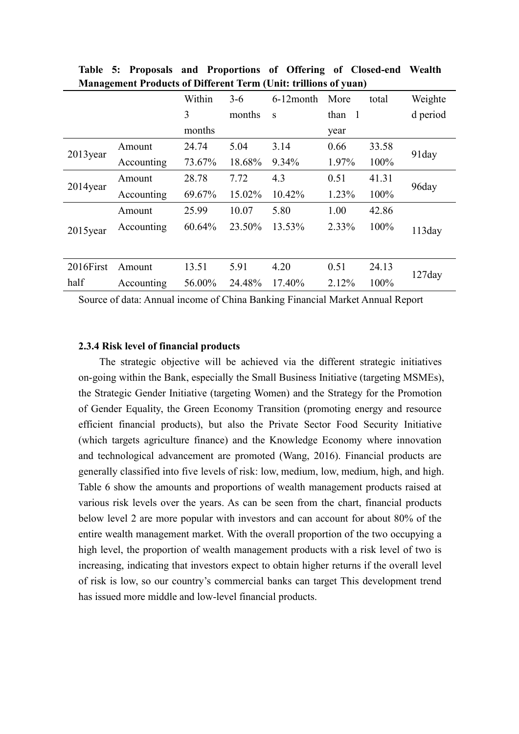|                           | гланасынын ттопись от внимене тегип сение и ппоня от упант |        |        |              |        |       |          |  |
|---------------------------|------------------------------------------------------------|--------|--------|--------------|--------|-------|----------|--|
|                           |                                                            | Within | $3-6$  | $6-12$ month | More   | total | Weighte  |  |
|                           |                                                            | 3      | months | S            | than 1 |       | d period |  |
|                           |                                                            | months |        |              | year   |       |          |  |
|                           | Amount                                                     | 24.74  | 5.04   | 3.14         | 0.66   | 33.58 |          |  |
| $2013$ year<br>Accounting | 73.67%                                                     | 18.68% | 9.34%  | 1.97%        | 100%   | 91day |          |  |
|                           | Amount                                                     | 28.78  | 7.72   | 4.3          | 0.51   | 41.31 |          |  |
| $2014$ year               | Accounting                                                 | 69.67% | 15.02% | 10.42%       | 1.23%  | 100%  | 96day    |  |
|                           | Amount                                                     | 25.99  | 10.07  | 5.80         | 1.00   | 42.86 |          |  |
| 2015year                  | Accounting                                                 | 60.64% | 23.50% | 13.53%       | 2.33%  | 100%  | 113day   |  |
|                           |                                                            |        |        |              |        |       |          |  |
| 2016First                 | Amount                                                     | 13.51  | 5.91   | 4.20         | 0.51   | 24.13 |          |  |
| half                      | Accounting                                                 | 56.00% | 24.48% | 17.40%       | 2.12%  | 100%  | 127day   |  |

**Table 5: Proposals and Proportions of Offering of Closed-end Wealth Management Products ofDifferent Term (Unit: trillions ofyuan)**

Source of data: Annual income of China Banking Financial Market Annual Report

#### **2.3.4 Risk level of financial products**

The strategic objective will be achieved via the different strategic initiatives on-going within the Bank, especially the Small Business Initiative (targeting MSMEs), the Strategic Gender Initiative (targeting Women) and the Strategy for the Promotion of Gender Equality, the Green Economy Transition (promoting energy and resource efficient financial products), but also the Private Sector Food Security Initiative (which targets agriculture finance) and the Knowledge Economy where innovation and technological advancement are promoted (Wang, 2016). Financial products are generally classified into five levels of risk: low, medium, low, medium, high, and high. Table 6 show the amounts and proportions of wealth management products raised at various risk levels over the years. As can be seen from the chart, financial products below level 2 are more popular with investors and can account for about 80% of the entire wealth management market. With the overall proportion of the two occupying a high level, the proportion of wealth management products with a risk level of two is increasing, indicating that investors expect to obtain higher returns if the overall level of risk is low, so our country's commercial banks can target This development trend has issued more middle and low-level financial products.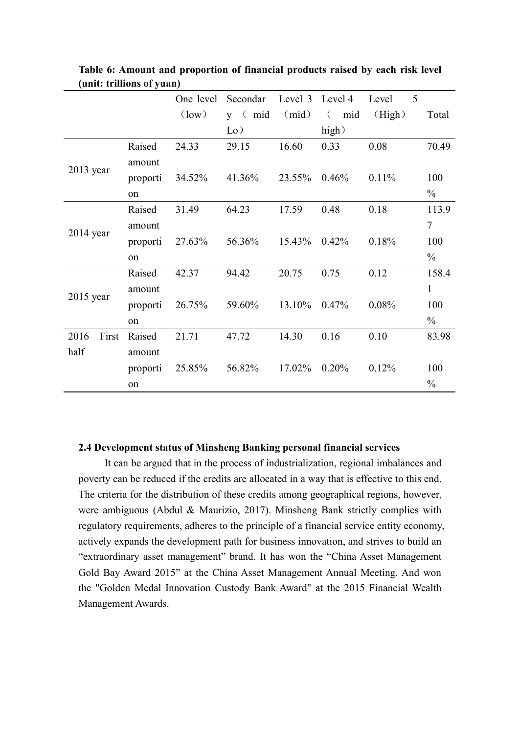|               |          | One level      | Secondar           | Level 3 | Level 4         | Level  | 5              |       |
|---------------|----------|----------------|--------------------|---------|-----------------|--------|----------------|-------|
|               |          | $\text{low}$ ) | $y \in \text{mid}$ | (mid)   | mid<br>$\left($ | (High) |                | Total |
|               |          |                | $\rm Lo$ )         |         | high)           |        |                |       |
|               | Raised   | 24.33          | 29.15              | 16.60   | 0.33            | 0.08   |                | 70.49 |
|               | amount   |                |                    |         |                 |        |                |       |
| $2013$ year   | proporti | 34.52%         | 41.36%             | 23.55%  | 0.46%           | 0.11%  |                | 100   |
|               | on       |                |                    |         |                 |        | $\frac{0}{0}$  |       |
|               | Raised   | 31.49          | 64.23              | 17.59   | 0.48            | 0.18   |                | 113.9 |
|               | amount   |                |                    |         |                 |        | $\overline{7}$ |       |
| 2014 year     | proporti | 27.63%         | 56.36%             | 15.43%  | 0.42%           | 0.18%  |                | 100   |
|               | on       |                |                    |         |                 |        | $\frac{0}{0}$  |       |
|               | Raised   | 42.37          | 94.42              | 20.75   | 0.75            | 0.12   |                | 158.4 |
|               | amount   |                |                    |         |                 |        | $\mathbf{1}$   |       |
| $2015$ year   | proporti | 26.75%         | 59.60%             | 13.10%  | 0.47%           | 0.08%  |                | 100   |
|               | on       |                |                    |         |                 |        | $\frac{0}{0}$  |       |
| First<br>2016 | Raised   | 21.71          | 47.72              | 14.30   | 0.16            | 0.10   |                | 83.98 |
| half          | amount   |                |                    |         |                 |        |                |       |
|               | proporti | 25.85%         | 56.82%             | 17.02%  | 0.20%           | 0.12%  |                | 100   |
|               | on       |                |                    |         |                 |        | $\frac{0}{0}$  |       |

**Table 6: Amount and proportion of financial products raised by each risk level (unit: trillions of yuan)**

#### **2.4 Development status ofMinsheng Banking personal financial services**

It can be argued that in the process of industrialization, regional imbalances and poverty can be reduced if the credits are allocated in a way that is effective to this end. The criteria for the distribution of these credits among geographical regions, however, were ambiguous (Abdul & Maurizio, 2017). Minsheng Bank strictly complies with regulatory requirements, adheres to the principle of a financial service entity economy, actively expands the development path for business innovation, and strives to build an "extraordinary asset management" brand. It has won the "China Asset Management Gold Bay Award 2015" at the China Asset Management Annual Meeting. And won the "Golden Medal Innovation Custody Bank Award" at the 2015 Financial Wealth Management Awards.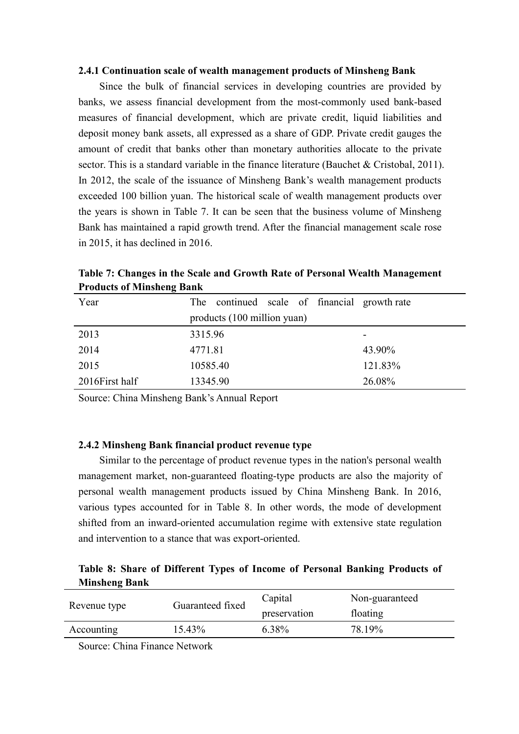#### **2.4.1 Continuation scale of wealth management products of Minsheng Bank**

Since the bulk of financial services in developing countries are provided by banks, we assess financial development from the most-commonly used bank-based measures of financial development, which are private credit, liquid liabilities and deposit money bank assets, all expressed as a share of GDP. Private credit gauges the amount of credit that banks other than monetary authorities allocate to the private sector. This is a standard variable in the finance literature (Bauchet & Cristobal, 2011). In 2012, the scale of the issuance of Minsheng Bank's wealth management products exceeded 100 billion yuan. The historical scale of wealth management products over the years is shown in Table 7. It can be seen that the business volume of Minsheng Bank has maintained a rapid growth trend. After the financial management scale rose in 2015, it has declined in 2016.

| <b>THOMACLS</b> OF IMMISSIONS DAMN |                                              |                          |
|------------------------------------|----------------------------------------------|--------------------------|
| Year                               | The continued scale of financial growth rate |                          |
|                                    | products (100 million yuan)                  |                          |
| 2013                               | 3315.96                                      | $\overline{\phantom{0}}$ |
| 2014                               | 4771.81                                      | 43.90%                   |
| 2015                               | 10585.40                                     | 121.83%                  |
| 2016 First half                    | 13345.90                                     | 26.08%                   |

**Table 7: Changes in the Scale and Growth Rate of Personal Wealth Management Products of Minsheng Bank**

Source: China Minsheng Bank's Annual Report

## **2.4.2 Minsheng Bank financial product revenue type**

Similar to the percentage of product revenue types in the nation's personal wealth management market, non-guaranteed floating-type products are also the majority of personal wealth management products issued by China Minsheng Bank. In 2016, various types accounted for in Table 8. In other words, the mode of development shifted from an inward-oriented accumulation regime with extensive state regulation and intervention to a stance that was export-oriented.

# **Table 8: Share of Different Types of Income of Personal Banking Products of Minsheng Bank**

| Revenue type | Guaranteed fixed | Capital      | Non-guaranteed |
|--------------|------------------|--------------|----------------|
|              |                  | preservation | floating       |
| Accounting   | $15.43\%$        | 6.38%        | 78.19%         |

Source: China Finance Network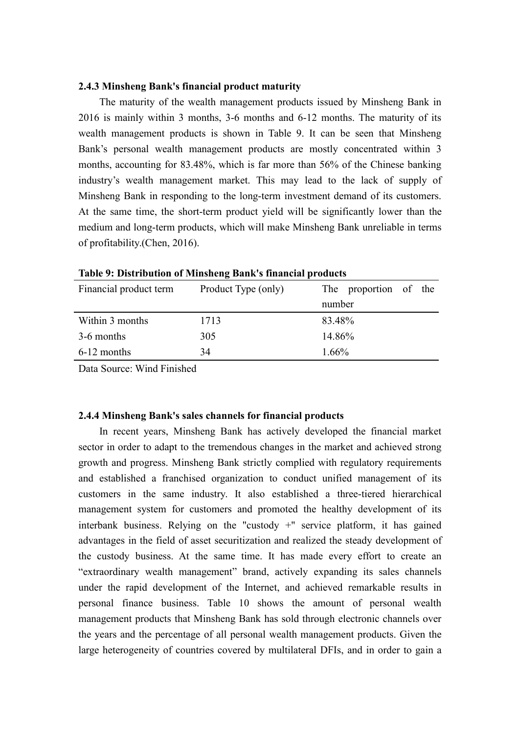## **2.4.3 Minsheng Bank's financial product maturity**

The maturity of the wealth management products issued by Minsheng Bank in 2016 is mainly within 3 months, 3-6 months and 6-12 months. The maturity of its wealth management products is shown in Table 9. It can be seen that Minsheng Bank's personal wealth management products are mostly concentrated within 3 months, accounting for 83.48%, which is far more than 56% of the Chinese banking industry's wealth management market. This may lead to the lack of supply of Minsheng Bank in responding to the long-term investment demand of its customers. At the same time, the short-term product yield will be significantly lower than the medium and long-term products, which will make Minsheng Bank unreliable in terms of profitability.(Chen, 2016).

|                        | Table 7: Distribution of Minisheng Dank's imanefal products |                       |
|------------------------|-------------------------------------------------------------|-----------------------|
| Financial product term | Product Type (only)                                         | The proportion of the |
|                        |                                                             | number                |
| Within 3 months        | 1713                                                        | 83.48%                |
| 3-6 months             | 305                                                         | 14.86%                |
| 6-12 months            | 34                                                          | 1.66%                 |

**Table 9: Distribution of Minsheng Bank's financial products**

Data Source: Wind Finished

#### **2.4.4 Minsheng Bank's sales channels for financial products**

In recent years, Minsheng Bank has actively developed the financial market sector in order to adapt to the tremendous changes in the market and achieved strong growth and progress. Minsheng Bank strictly complied with regulatory requirements and established a franchised organization to conduct unified management of its customers in the same industry. It also established a three-tiered hierarchical management system for customers and promoted the healthy development of its interbank business. Relying on the "custody +" service platform, it has gained advantages in the field of asset securitization and realized the steady development of the custody business. At the same time. It has made every effort to create an "extraordinary wealth management" brand, actively expanding its sales channels under the rapid development of the Internet, and achieved remarkable results in personal finance business. Table 10 shows the amount of personal wealth management products that Minsheng Bank has sold through electronic channels over the years and the percentage of all personal wealth management products. Given the large heterogeneity of countries covered by multilateral DFIs, and in order to gain a